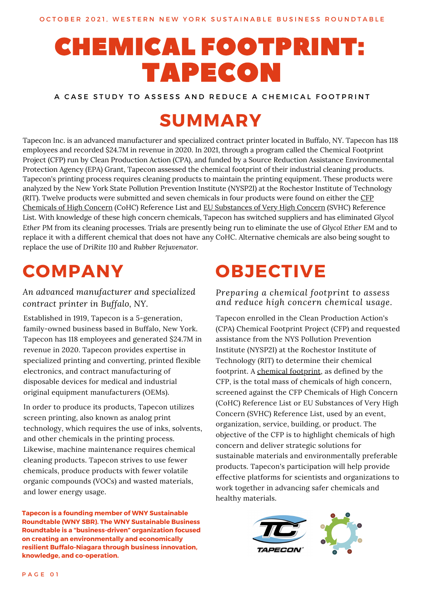# CHEMICAL FOOTPRINT: TAPECON

A CASE STUDY TO ASSESS AND REDUCE A CHEMICAL FOOTPRINT

# **SUMMARY**

Tapecon Inc. is an advanced manufacturer and specialized contract printer located in Buffalo, NY. Tapecon has 118 employees and recorded \$24.7M in revenue in 2020. In 2021, through a program called the Chemical Footprint Project (CFP) run by Clean Production Action (CPA), and funded by a Source Reduction Assistance Environmental Protection Agency (EPA) Grant, Tapecon assessed the chemical footprint of their industrial cleaning products. Tapecon's printing process requires cleaning products to maintain the printing equipment. These products were analyzed by the New York State Pollution Prevention Institute (NYSP2I) at the Rochestor Institute of Technology (RIT). Twelve products were submitted and seven chemicals in four products were found on either the CFP Chemicals of High Concern (CoHC) Reference List and EU [Substances](https://www.chemicalfootprint.org/assess/survey-resources-2) of Very High Concern (SVHC) Reference List. With knowledge of these high concern chemicals, Tapecon has switched suppliers and has eliminated *Glycol Ether PM* from its cleaning processes*.* Trials are presently being run to eliminate the use of *Glycol Ether EM* and to replace it with a different chemical that does not have any CoHC. Alternative chemicals are also being sought to replace the use of *DriRite 110* and *Rubber Rejuvenator.*

# **COMPANY**

*An advanced manufacturer and specialized contract printer in Buffalo, NY.*

Established in 1919, Tapecon is a 5-generation, family-owned business based in Buffalo, New York. Tapecon has 118 employees and generated \$24.7M in revenue in 2020. Tapecon provides expertise in specialized printing and converting, printed flexible electronics, and contract manufacturing of disposable devices for medical and industrial original equipment manufacturers (OEMs).

In order to produce its products, Tapecon utilizes screen printing, also known as analog print technology, which requires the use of inks, solvents, and other chemicals in the printing process. Likewise, machine maintenance requires chemical cleaning products. Tapecon strives to use fewer chemicals, produce products with fewer volatile organic compounds (VOCs) and wasted materials, and lower energy usage.

**Tapecon is a founding member of WNY [Sustainable](http://www.wnysustainablebusiness.org/) Roundtable (WNY SBR). The WNY Sustainable Business Roundtable is a "business-driven" organization focused on creating an environmentally and economically resilient Buffalo-Niagara through business innovation, knowledge, and co-operation.**

# **OBJECTIVE**

*Preparing a chemical footprint to assess and reduce high concern chemical usage.*

Tapecon enrolled in the Clean Production Action's (CPA) Chemical Footprint Project (CFP) and requested assistance from the NYS Pollution Prevention Institute (NYSP2I) at the Rochestor Institute of Technology (RIT) to determine their chemical footprint. A chemical [footprint,](https://www.chemicalfootprint.org/learn/about-cfp) as defined by the CFP, is the total mass of chemicals of high concern, screened against the CFP Chemicals of High Concern (CoHC) Reference List or EU Substances of Very High Concern (SVHC) Reference List, used by an event, organization, service, building, or product. The objective of the CFP is to highlight chemicals of high concern and deliver strategic solutions for sustainable materials and environmentally preferable products. Tapecon's participation will help provide effective platforms for scientists and organizations to work together in advancing safer chemicals and healthy materials.